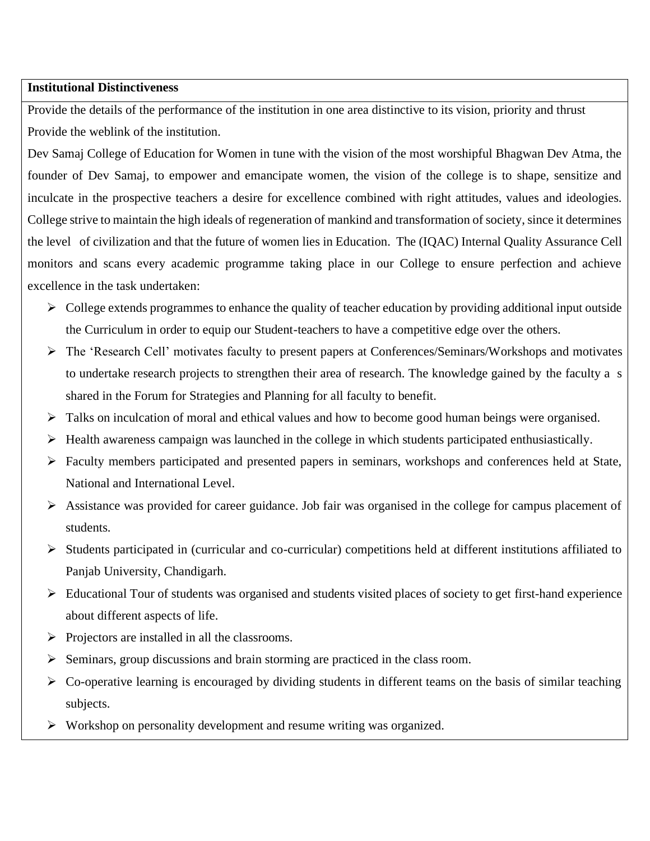## **Institutional Distinctiveness**

Provide the details of the performance of the institution in one area distinctive to its vision, priority and thrust Provide the weblink of the institution.

Dev Samaj College of Education for Women in tune with the vision of the most worshipful Bhagwan Dev Atma, the founder of Dev Samaj, to empower and emancipate women, the vision of the college is to shape, sensitize and inculcate in the prospective teachers a desire for excellence combined with right attitudes, values and ideologies. College strive to maintain the high ideals of regeneration of mankind and transformation of society, since it determines the level of civilization and that the future of women lies in Education. The (IQAC) Internal Quality Assurance Cell monitors and scans every academic programme taking place in our College to ensure perfection and achieve excellence in the task undertaken:

- $\triangleright$  College extends programmes to enhance the quality of teacher education by providing additional input outside the Curriculum in order to equip our Student-teachers to have a competitive edge over the others.
- ➢ The 'Research Cell' motivates faculty to present papers at Conferences/Seminars/Workshops and motivates to undertake research projects to strengthen their area of research. The knowledge gained by the faculty a s shared in the Forum for Strategies and Planning for all faculty to benefit.
- $\triangleright$  Talks on inculcation of moral and ethical values and how to become good human beings were organised.
- $\triangleright$  Health awareness campaign was launched in the college in which students participated enthusiastically.
- $\triangleright$  Faculty members participated and presented papers in seminars, workshops and conferences held at State, National and International Level.
- ➢ Assistance was provided for career guidance. Job fair was organised in the college for campus placement of students.
- ➢ Students participated in (curricular and co-curricular) competitions held at different institutions affiliated to Panjab University, Chandigarh.
- $\triangleright$  Educational Tour of students was organised and students visited places of society to get first-hand experience about different aspects of life.
- ➢ Projectors are installed in all the classrooms.
- ➢ Seminars, group discussions and brain storming are practiced in the class room.
- ➢ Co-operative learning is encouraged by dividing students in different teams on the basis of similar teaching subjects.
- ➢ Workshop on personality development and resume writing was organized.